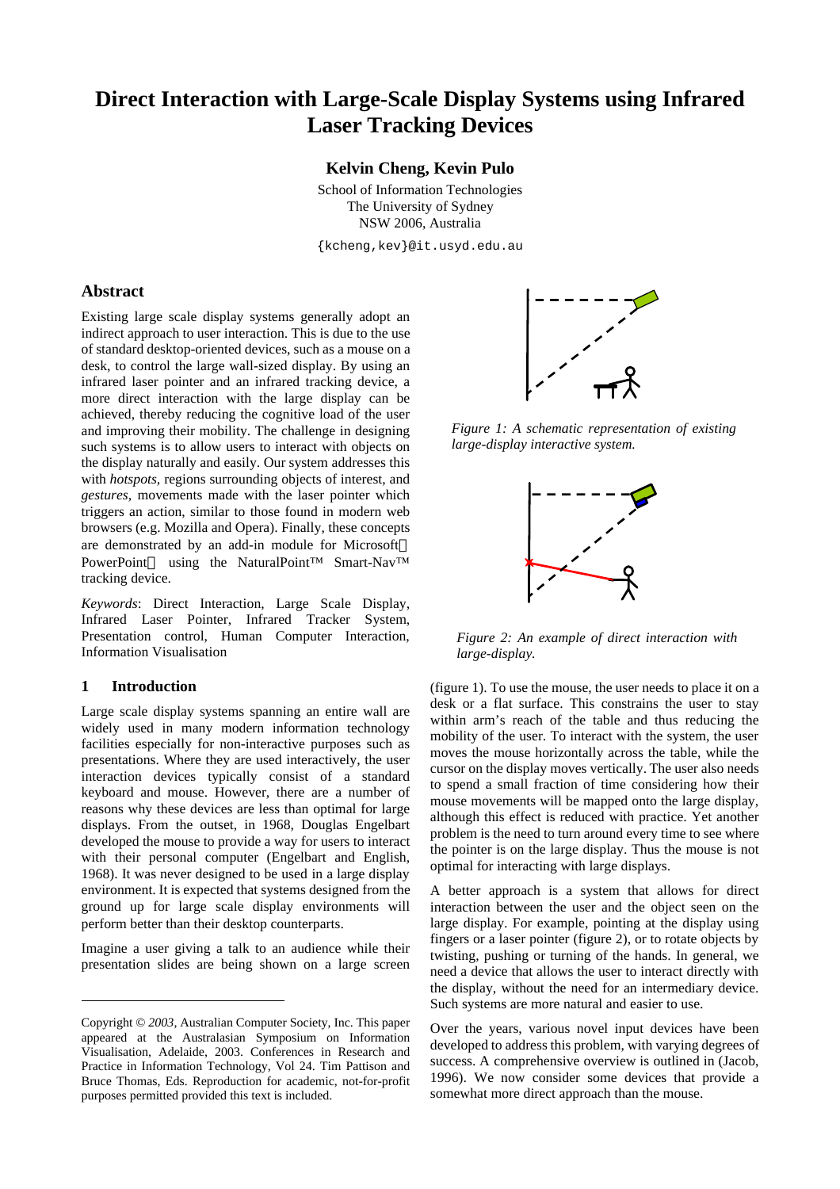# **Direct Interaction with Large-Scale Display Systems using Infrared Laser Tracking Devices**

## **Kelvin Cheng, Kevin Pulo**

School of Information Technologies The University of Sydney NSW 2006, Australia

{kcheng,kev}@it.usyd.edu.au

# **Abstract**

Existing large scale display systems generally adopt an indirect approach to user interaction. This is due to the use of standard desktop-oriented devices, such as a mouse on a desk, to control the large wall-sized display. By using an infrared laser pointer and an infrared tracking device, a more direct interaction with the large display can be achieved, thereby reducing the cognitive load of the user and improving their mobility. The challenge in designing such systems is to allow users to interact with objects on the display naturally and easily. Our system addresses this with *hotspots,* regions surrounding objects of interest, and *gestures,* movements made with the laser pointer which triggers an action, similar to those found in modern web browsers (e.g. Mozilla and Opera). Finally, these concepts are demonstrated by an add-in module for Microsoft PowerPoint<sup>®</sup> using the NaturalPoint™ Smart-Nav™ tracking device.

*Keywords*: Direct Interaction, Large Scale Display, Infrared Laser Pointer, Infrared Tracker System, Presentation control, Human Computer Interaction, Information Visualisation

# **1 Introduction**

l

Large scale display systems spanning an entire wall are widely used in many modern information technology facilities especially for non-interactive purposes such as presentations. Where they are used interactively, the user interaction devices typically consist of a standard keyboard and mouse. However, there are a number of reasons why these devices are less than optimal for large displays. From the outset, in 1968, Douglas Engelbart developed the mouse to provide a way for users to interact with their personal computer (Engelbart and English, 1968). It was never designed to be used in a large display environment. It is expected that systems designed from the ground up for large scale display environments will perform better than their desktop counterparts.

Imagine a user giving a talk to an audience while their presentation slides are being shown on a large screen



*Figure 1: A schematic representation of existing large-display interactive system.*



*Figure 2: An example of direct interaction with large-display.*

(figure 1). To use the mouse, the user needs to place it on a desk or a flat surface. This constrains the user to stay within arm's reach of the table and thus reducing the mobility of the user. To interact with the system, the user moves the mouse horizontally across the table, while the cursor on the display moves vertically. The user also needs to spend a small fraction of time considering how their mouse movements will be mapped onto the large display, although this effect is reduced with practice. Yet another problem is the need to turn around every time to see where the pointer is on the large display. Thus the mouse is not optimal for interacting with large displays.

A better approach is a system that allows for direct interaction between the user and the object seen on the large display. For example, pointing at the display using fingers or a laser pointer (figure 2), or to rotate objects by twisting, pushing or turning of the hands. In general, we need a device that allows the user to interact directly with the display, without the need for an intermediary device. Such systems are more natural and easier to use.

Over the years, various novel input devices have been developed to address this problem, with varying degrees of success. A comprehensive overview is outlined in (Jacob, 1996). We now consider some devices that provide a somewhat more direct approach than the mouse.

Copyright © *2003*, Australian Computer Society, Inc. This paper appeared at the Australasian Symposium on Information Visualisation, Adelaide, 2003. Conferences in Research and Practice in Information Technology, Vol 24. Tim Pattison and Bruce Thomas, Eds. Reproduction for academic, not-for-profit purposes permitted provided this text is included.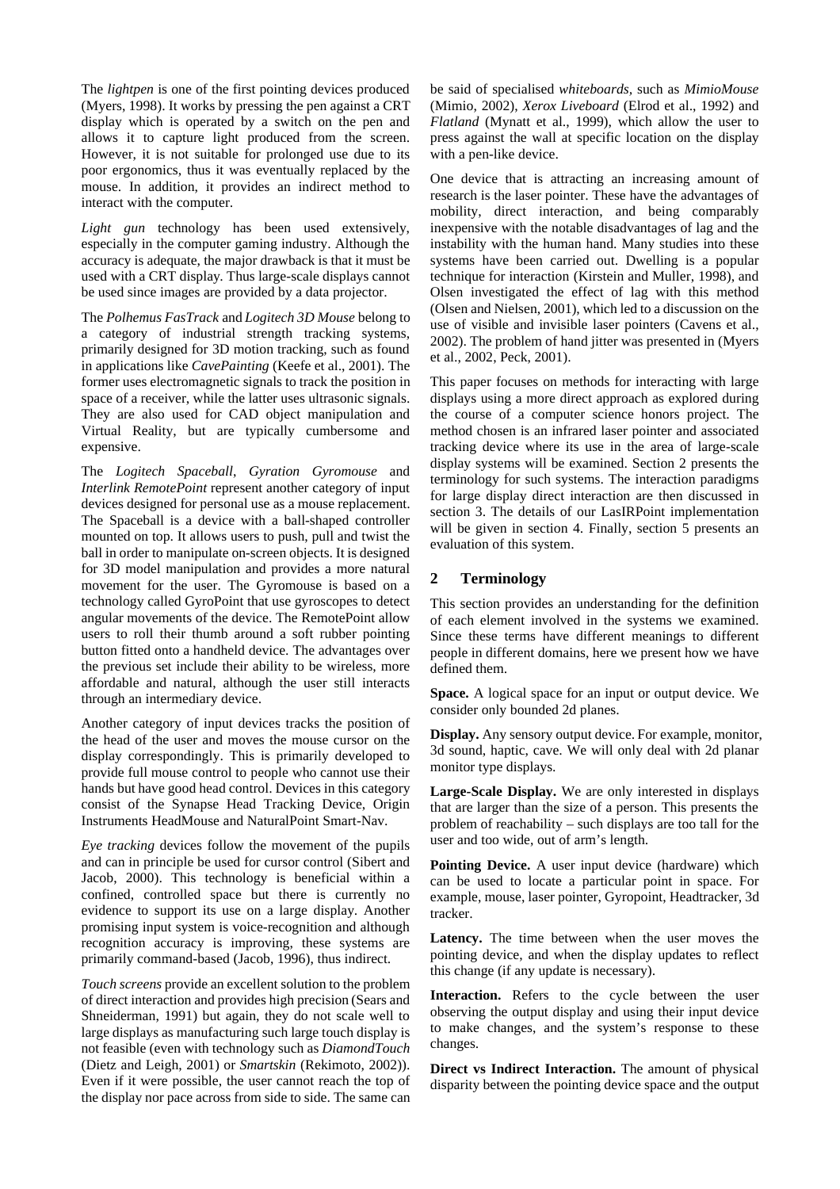The *lightpen* is one of the first pointing devices produced (Myers, 1998). It works by pressing the pen against a CRT display which is operated by a switch on the pen and allows it to capture light produced from the screen. However, it is not suitable for prolonged use due to its poor ergonomics, thus it was eventually replaced by the mouse. In addition, it provides an indirect method to interact with the computer.

*Light gun* technology has been used extensively, especially in the computer gaming industry. Although the accuracy is adequate, the major drawback is that it must be used with a CRT display. Thus large-scale displays cannot be used since images are provided by a data projector.

The *Polhemus FasTrack* and *Logitech 3D Mouse* belong to a category of industrial strength tracking systems, primarily designed for 3D motion tracking, such as found in applications like *CavePainting* (Keefe et al., 2001). The former uses electromagnetic signals to track the position in space of a receiver, while the latter uses ultrasonic signals. They are also used for CAD object manipulation and Virtual Reality, but are typically cumbersome and expensive.

The *Logitech Spaceball*, *Gyration Gyromouse* and *Interlink RemotePoint* represent another category of input devices designed for personal use as a mouse replacement. The Spaceball is a device with a ball-shaped controller mounted on top. It allows users to push, pull and twist the ball in order to manipulate on-screen objects. It is designed for 3D model manipulation and provides a more natural movement for the user. The Gyromouse is based on a technology called GyroPoint that use gyroscopes to detect angular movements of the device. The RemotePoint allow users to roll their thumb around a soft rubber pointing button fitted onto a handheld device. The advantages over the previous set include their ability to be wireless, more affordable and natural, although the user still interacts through an intermediary device.

Another category of input devices tracks the position of the head of the user and moves the mouse cursor on the display correspondingly. This is primarily developed to provide full mouse control to people who cannot use their hands but have good head control. Devices in this category consist of the Synapse Head Tracking Device, Origin Instruments HeadMouse and NaturalPoint Smart-Nav.

*Eye tracking* devices follow the movement of the pupils and can in principle be used for cursor control (Sibert and Jacob, 2000). This technology is beneficial within a confined, controlled space but there is currently no evidence to support its use on a large display. Another promising input system is voice-recognition and although recognition accuracy is improving, these systems are primarily command-based (Jacob, 1996), thus indirect.

*Touch screens* provide an excellent solution to the problem of direct interaction and provides high precision (Sears and Shneiderman, 1991) but again, they do not scale well to large displays as manufacturing such large touch display is not feasible (even with technology such as *DiamondTouch* (Dietz and Leigh, 2001) or *Smartskin* (Rekimoto, 2002)). Even if it were possible, the user cannot reach the top of the display nor pace across from side to side. The same can be said of specialised *whiteboards,* such as *MimioMouse* (Mimio, 2002), *Xerox Liveboard* (Elrod et al., 1992) and *Flatland* (Mynatt et al., 1999), which allow the user to press against the wall at specific location on the display with a pen-like device.

One device that is attracting an increasing amount of research is the laser pointer. These have the advantages of mobility, direct interaction, and being comparably inexpensive with the notable disadvantages of lag and the instability with the human hand. Many studies into these systems have been carried out. Dwelling is a popular technique for interaction (Kirstein and Muller, 1998), and Olsen investigated the effect of lag with this method (Olsen and Nielsen, 2001), which led to a discussion on the use of visible and invisible laser pointers (Cavens et al., 2002). The problem of hand jitter was presented in (Myers et al., 2002, Peck, 2001).

This paper focuses on methods for interacting with large displays using a more direct approach as explored during the course of a computer science honors project. The method chosen is an infrared laser pointer and associated tracking device where its use in the area of large-scale display systems will be examined. Section 2 presents the terminology for such systems. The interaction paradigms for large display direct interaction are then discussed in section 3. The details of our LasIRPoint implementation will be given in section 4. Finally, section 5 presents an evaluation of this system.

# **2 Terminology**

This section provides an understanding for the definition of each element involved in the systems we examined. Since these terms have different meanings to different people in different domains, here we present how we have defined them.

**Space.** A logical space for an input or output device. We consider only bounded 2d planes.

**Display.** Any sensory output device. For example, monitor, 3d sound, haptic, cave. We will only deal with 2d planar monitor type displays.

**Large-Scale Display.** We are only interested in displays that are larger than the size of a person. This presents the problem of reachability – such displays are too tall for the user and too wide, out of arm's length.

**Pointing Device.** A user input device (hardware) which can be used to locate a particular point in space. For example, mouse, laser pointer, Gyropoint, Headtracker, 3d tracker.

**Latency.** The time between when the user moves the pointing device, and when the display updates to reflect this change (if any update is necessary).

**Interaction.** Refers to the cycle between the user observing the output display and using their input device to make changes, and the system's response to these changes.

**Direct vs Indirect Interaction.** The amount of physical disparity between the pointing device space and the output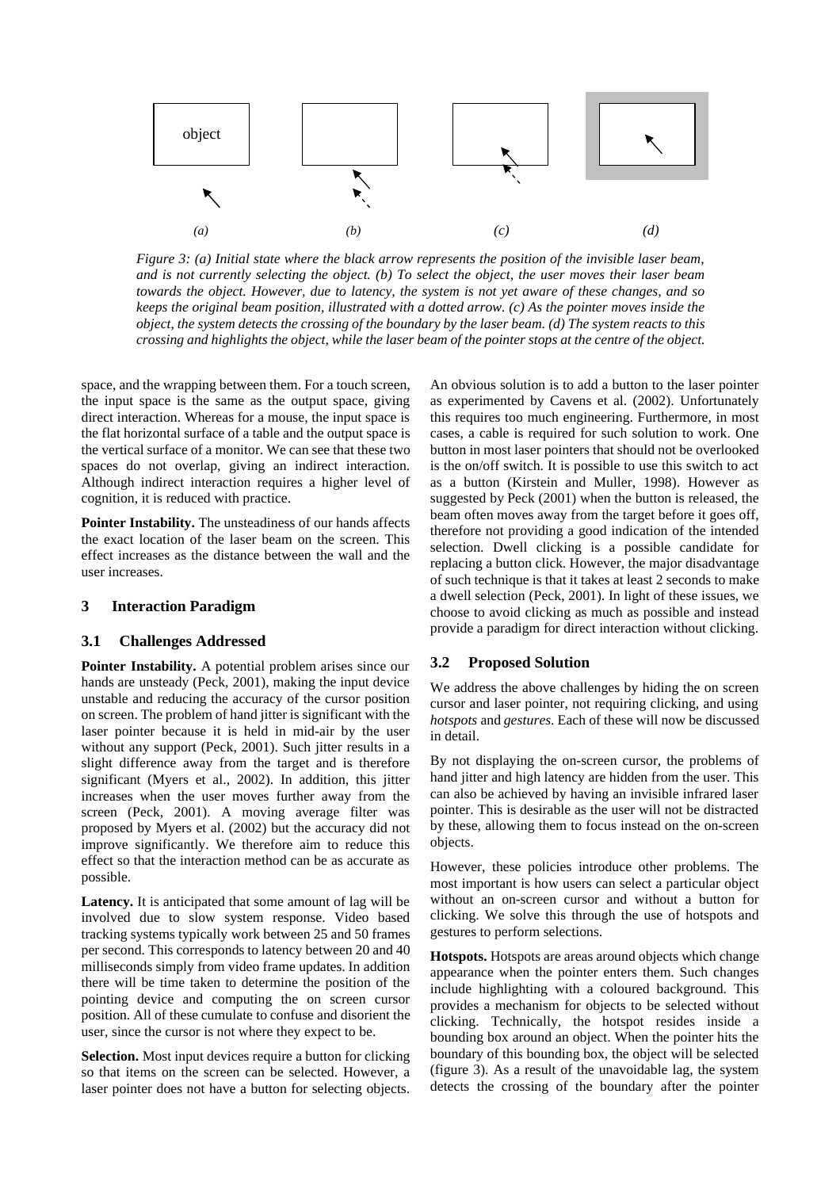

*Figure 3: (a) Initial state where the black arrow represents the position of the invisible laser beam, and is not currently selecting the object. (b) To select the object, the user moves their laser beam towards the object. However, due to latency, the system is not yet aware of these changes, and so keeps the original beam position, illustrated with a dotted arrow. (c) As the pointer moves inside the object, the system detects the crossing of the boundary by the laser beam. (d) The system reacts to this crossing and highlights the object, while the laser beam of the pointer stops at the centre of the object.* 

space, and the wrapping between them. For a touch screen, the input space is the same as the output space, giving direct interaction. Whereas for a mouse, the input space is the flat horizontal surface of a table and the output space is the vertical surface of a monitor. We can see that these two spaces do not overlap, giving an indirect interaction. Although indirect interaction requires a higher level of cognition, it is reduced with practice.

**Pointer Instability.** The unsteadiness of our hands affects the exact location of the laser beam on the screen. This effect increases as the distance between the wall and the user increases.

#### **3 Interaction Paradigm**

#### **3.1 Challenges Addressed**

**Pointer Instability.** A potential problem arises since our hands are unsteady (Peck, 2001), making the input device unstable and reducing the accuracy of the cursor position on screen. The problem of hand jitter is significant with the laser pointer because it is held in mid-air by the user without any support (Peck, 2001). Such jitter results in a slight difference away from the target and is therefore significant (Myers et al., 2002). In addition, this jitter increases when the user moves further away from the screen (Peck, 2001). A moving average filter was proposed by Myers et al. (2002) but the accuracy did not improve significantly. We therefore aim to reduce this effect so that the interaction method can be as accurate as possible.

**Latency.** It is anticipated that some amount of lag will be involved due to slow system response. Video based tracking systems typically work between 25 and 50 frames per second. This corresponds to latency between 20 and 40 milliseconds simply from video frame updates. In addition there will be time taken to determine the position of the pointing device and computing the on screen cursor position. All of these cumulate to confuse and disorient the user, since the cursor is not where they expect to be.

**Selection.** Most input devices require a button for clicking so that items on the screen can be selected. However, a laser pointer does not have a button for selecting objects.

An obvious solution is to add a button to the laser pointer as experimented by Cavens et al. (2002). Unfortunately this requires too much engineering. Furthermore, in most cases, a cable is required for such solution to work. One button in most laser pointers that should not be overlooked is the on/off switch. It is possible to use this switch to act as a button (Kirstein and Muller, 1998). However as suggested by Peck (2001) when the button is released, the beam often moves away from the target before it goes off, therefore not providing a good indication of the intended selection. Dwell clicking is a possible candidate for replacing a button click. However, the major disadvantage of such technique is that it takes at least 2 seconds to make a dwell selection (Peck, 2001). In light of these issues, we choose to avoid clicking as much as possible and instead provide a paradigm for direct interaction without clicking.

## **3.2 Proposed Solution**

We address the above challenges by hiding the on screen cursor and laser pointer, not requiring clicking, and using *hotspots* and *gestures*. Each of these will now be discussed in detail.

By not displaying the on-screen cursor, the problems of hand jitter and high latency are hidden from the user. This can also be achieved by having an invisible infrared laser pointer. This is desirable as the user will not be distracted by these, allowing them to focus instead on the on-screen objects.

However, these policies introduce other problems. The most important is how users can select a particular object without an on-screen cursor and without a button for clicking. We solve this through the use of hotspots and gestures to perform selections.

**Hotspots.** Hotspots are areas around objects which change appearance when the pointer enters them. Such changes include highlighting with a coloured background. This provides a mechanism for objects to be selected without clicking. Technically, the hotspot resides inside a bounding box around an object. When the pointer hits the boundary of this bounding box, the object will be selected (figure 3). As a result of the unavoidable lag, the system detects the crossing of the boundary after the pointer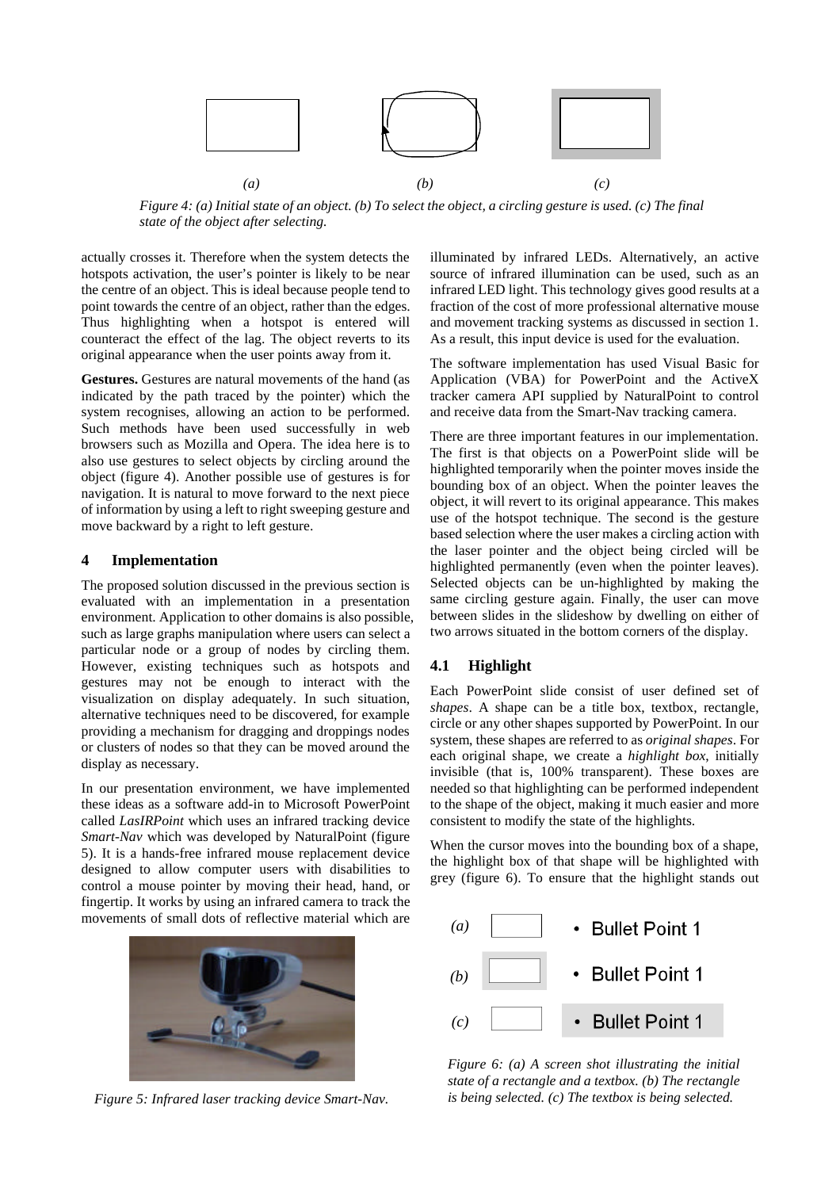

*Figure 4: (a) Initial state of an object. (b) To select the object, a circling gesture is used. (c) The final state of the object after selecting.*

actually crosses it. Therefore when the system detects the hotspots activation, the user's pointer is likely to be near the centre of an object. This is ideal because people tend to point towards the centre of an object, rather than the edges. Thus highlighting when a hotspot is entered will counteract the effect of the lag. The object reverts to its original appearance when the user points away from it.

**Gestures.** Gestures are natural movements of the hand (as indicated by the path traced by the pointer) which the system recognises, allowing an action to be performed. Such methods have been used successfully in web browsers such as Mozilla and Opera. The idea here is to also use gestures to select objects by circling around the object (figure 4). Another possible use of gestures is for navigation. It is natural to move forward to the next piece of information by using a left to right sweeping gesture and move backward by a right to left gesture.

#### **4 Implementation**

The proposed solution discussed in the previous section is evaluated with an implementation in a presentation environment. Application to other domains is also possible, such as large graphs manipulation where users can select a particular node or a group of nodes by circling them. However, existing techniques such as hotspots and gestures may not be enough to interact with the visualization on display adequately. In such situation, alternative techniques need to be discovered, for example providing a mechanism for dragging and droppings nodes or clusters of nodes so that they can be moved around the display as necessary.

In our presentation environment, we have implemented these ideas as a software add-in to Microsoft PowerPoint called *LasIRPoint* which uses an infrared tracking device *Smart-Nav* which was developed by NaturalPoint (figure 5). It is a hands-free infrared mouse replacement device designed to allow computer users with disabilities to control a mouse pointer by moving their head, hand, or fingertip. It works by using an infrared camera to track the movements of small dots of reflective material which are



*Figure 5: Infrared laser tracking device Smart-Nav.*

illuminated by infrared LEDs. Alternatively, an active source of infrared illumination can be used, such as an infrared LED light. This technology gives good results at a fraction of the cost of more professional alternative mouse and movement tracking systems as discussed in section 1. As a result, this input device is used for the evaluation.

The software implementation has used Visual Basic for Application (VBA) for PowerPoint and the ActiveX tracker camera API supplied by NaturalPoint to control and receive data from the Smart-Nav tracking camera.

There are three important features in our implementation. The first is that objects on a PowerPoint slide will be highlighted temporarily when the pointer moves inside the bounding box of an object. When the pointer leaves the object, it will revert to its original appearance. This makes use of the hotspot technique. The second is the gesture based selection where the user makes a circling action with the laser pointer and the object being circled will be highlighted permanently (even when the pointer leaves). Selected objects can be un-highlighted by making the same circling gesture again. Finally, the user can move between slides in the slideshow by dwelling on either of two arrows situated in the bottom corners of the display.

## **4.1 Highlight**

Each PowerPoint slide consist of user defined set of *shapes*. A shape can be a title box, textbox, rectangle, circle or any other shapes supported by PowerPoint. In our system, these shapes are referred to as *original shapes*. For each original shape, we create a *highlight box*, initially invisible (that is, 100% transparent). These boxes are needed so that highlighting can be performed independent to the shape of the object, making it much easier and more consistent to modify the state of the highlights.

When the cursor moves into the bounding box of a shape, the highlight box of that shape will be highlighted with grey (figure 6). To ensure that the highlight stands out



*Figure 6: (a) A screen shot illustrating the initial state of a rectangle and a textbox. (b) The rectangle is being selected. (c) The textbox is being selected.*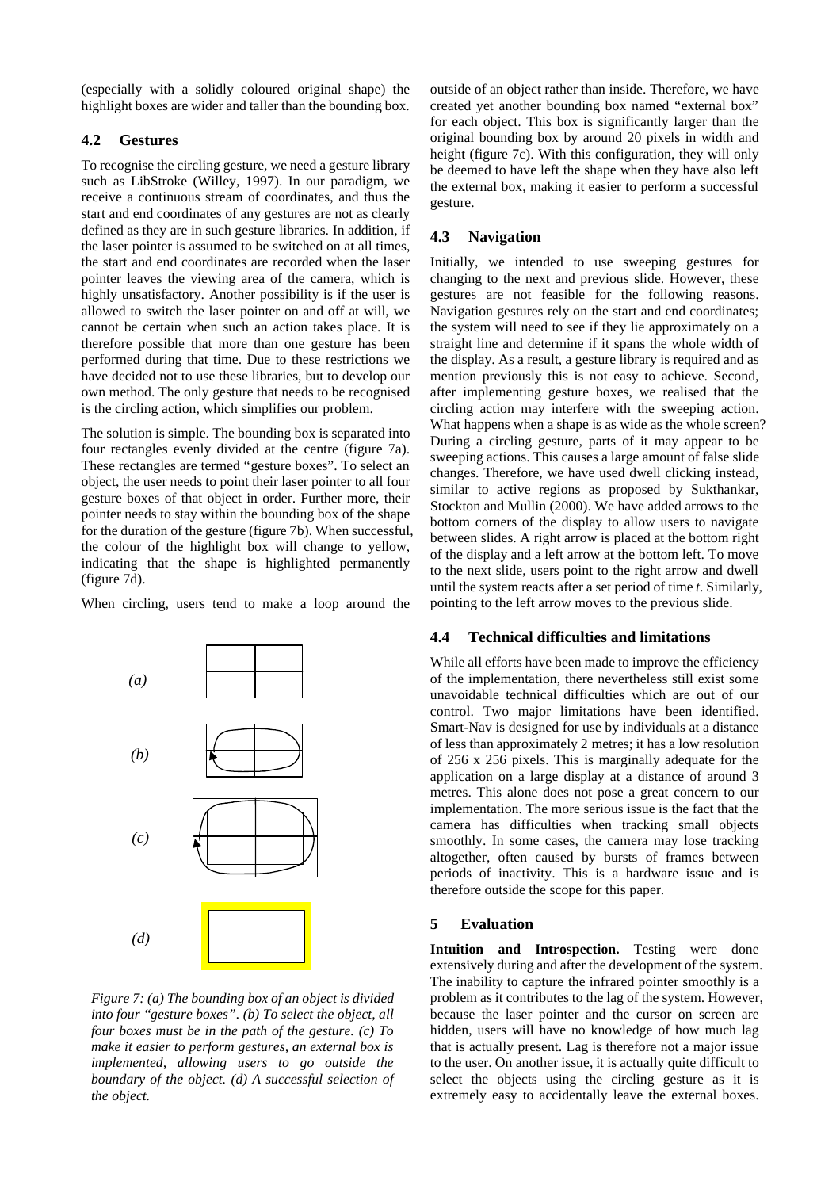(especially with a solidly coloured original shape) the highlight boxes are wider and taller than the bounding box.

#### **4.2 Gestures**

To recognise the circling gesture, we need a gesture library such as LibStroke (Willey, 1997). In our paradigm, we receive a continuous stream of coordinates, and thus the start and end coordinates of any gestures are not as clearly defined as they are in such gesture libraries. In addition, if the laser pointer is assumed to be switched on at all times, the start and end coordinates are recorded when the laser pointer leaves the viewing area of the camera, which is highly unsatisfactory. Another possibility is if the user is allowed to switch the laser pointer on and off at will, we cannot be certain when such an action takes place. It is therefore possible that more than one gesture has been performed during that time. Due to these restrictions we have decided not to use these libraries, but to develop our own method. The only gesture that needs to be recognised is the circling action, which simplifies our problem.

The solution is simple. The bounding box is separated into four rectangles evenly divided at the centre (figure 7a). These rectangles are termed "gesture boxes". To select an object, the user needs to point their laser pointer to all four gesture boxes of that object in order. Further more, their pointer needs to stay within the bounding box of the shape for the duration of the gesture (figure 7b). When successful, the colour of the highlight box will change to yellow, indicating that the shape is highlighted permanently (figure 7d).

When circling, users tend to make a loop around the



*Figure 7: (a) The bounding box of an object is divided into four "gesture boxes". (b) To select the object, all four boxes must be in the path of the gesture. (c) To make it easier to perform gestures, an external box is implemented, allowing users to go outside the boundary of the object. (d) A successful selection of the object.*

outside of an object rather than inside. Therefore, we have created yet another bounding box named "external box" for each object. This box is significantly larger than the original bounding box by around 20 pixels in width and height (figure 7c). With this configuration, they will only be deemed to have left the shape when they have also left the external box, making it easier to perform a successful gesture.

## **4.3 Navigation**

Initially, we intended to use sweeping gestures for changing to the next and previous slide. However, these gestures are not feasible for the following reasons. Navigation gestures rely on the start and end coordinates; the system will need to see if they lie approximately on a straight line and determine if it spans the whole width of the display. As a result, a gesture library is required and as mention previously this is not easy to achieve. Second, after implementing gesture boxes, we realised that the circling action may interfere with the sweeping action. What happens when a shape is as wide as the whole screen? During a circling gesture, parts of it may appear to be sweeping actions. This causes a large amount of false slide changes. Therefore, we have used dwell clicking instead, similar to active regions as proposed by Sukthankar, Stockton and Mullin (2000). We have added arrows to the bottom corners of the display to allow users to navigate between slides. A right arrow is placed at the bottom right of the display and a left arrow at the bottom left. To move to the next slide, users point to the right arrow and dwell until the system reacts after a set period of time *t*. Similarly, pointing to the left arrow moves to the previous slide.

#### **4.4 Technical difficulties and limitations**

While all efforts have been made to improve the efficiency of the implementation, there nevertheless still exist some unavoidable technical difficulties which are out of our control. Two major limitations have been identified. Smart-Nav is designed for use by individuals at a distance of less than approximately 2 metres; it has a low resolution of 256 x 256 pixels. This is marginally adequate for the application on a large display at a distance of around 3 metres. This alone does not pose a great concern to our implementation. The more serious issue is the fact that the camera has difficulties when tracking small objects smoothly. In some cases, the camera may lose tracking altogether, often caused by bursts of frames between periods of inactivity. This is a hardware issue and is therefore outside the scope for this paper.

#### **5 Evaluation**

**Intuition and Introspection.** Testing were done extensively during and after the development of the system. The inability to capture the infrared pointer smoothly is a problem as it contributes to the lag of the system. However, because the laser pointer and the cursor on screen are hidden, users will have no knowledge of how much lag that is actually present. Lag is therefore not a major issue to the user. On another issue, it is actually quite difficult to select the objects using the circling gesture as it is extremely easy to accidentally leave the external boxes.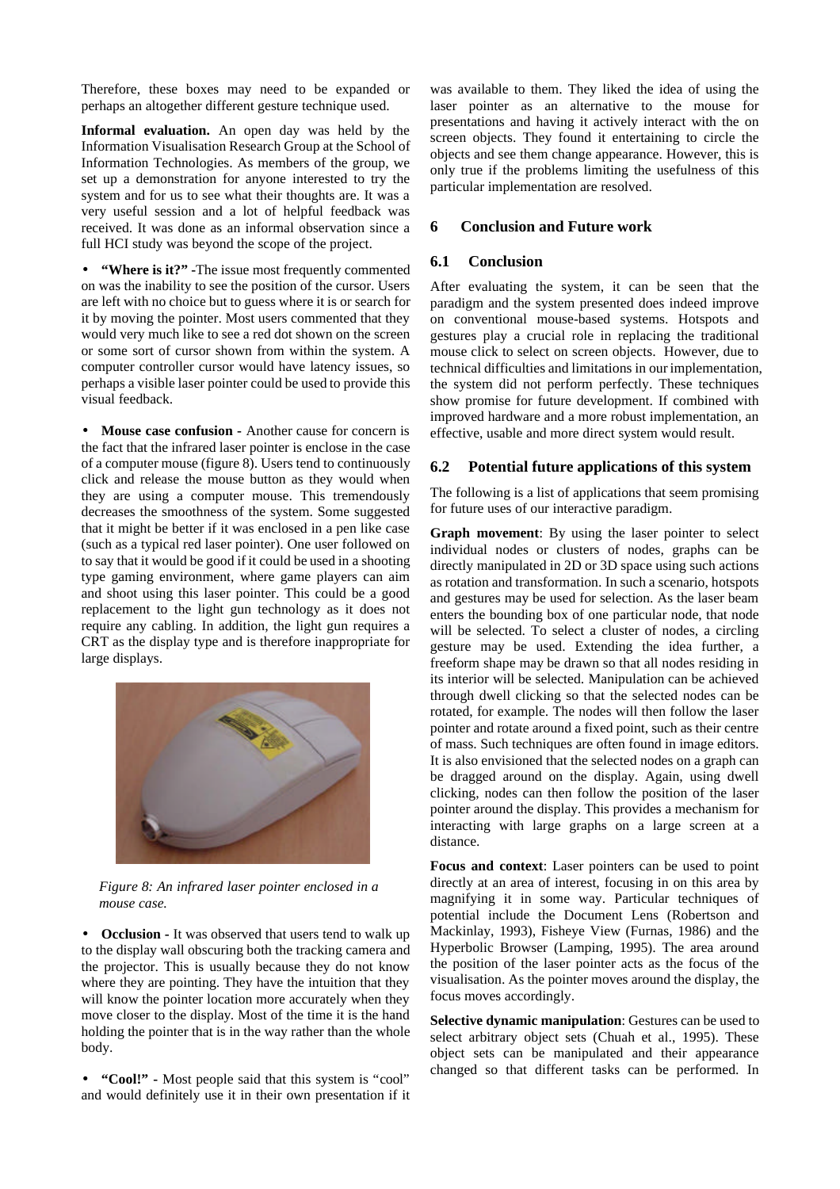Therefore, these boxes may need to be expanded or perhaps an altogether different gesture technique used.

**Informal evaluation.** An open day was held by the Information Visualisation Research Group at the School of Information Technologies. As members of the group, we set up a demonstration for anyone interested to try the system and for us to see what their thoughts are. It was a very useful session and a lot of helpful feedback was received. It was done as an informal observation since a full HCI study was beyond the scope of the project.

• **"Where is it?" -**The issue most frequently commented on was the inability to see the position of the cursor. Users are left with no choice but to guess where it is or search for it by moving the pointer. Most users commented that they would very much like to see a red dot shown on the screen or some sort of cursor shown from within the system. A computer controller cursor would have latency issues, so perhaps a visible laser pointer could be used to provide this visual feedback.

• **Mouse case confusion -** Another cause for concern is the fact that the infrared laser pointer is enclose in the case of a computer mouse (figure 8). Users tend to continuously click and release the mouse button as they would when they are using a computer mouse. This tremendously decreases the smoothness of the system. Some suggested that it might be better if it was enclosed in a pen like case (such as a typical red laser pointer). One user followed on to say that it would be good if it could be used in a shooting type gaming environment, where game players can aim and shoot using this laser pointer. This could be a good replacement to the light gun technology as it does not require any cabling. In addition, the light gun requires a CRT as the display type and is therefore inappropriate for large displays.



*Figure 8: An infrared laser pointer enclosed in a mouse case.*

• **Occlusion -** It was observed that users tend to walk up to the display wall obscuring both the tracking camera and the projector. This is usually because they do not know where they are pointing. They have the intuition that they will know the pointer location more accurately when they move closer to the display. Most of the time it is the hand holding the pointer that is in the way rather than the whole body.

• **"Cool!" -** Most people said that this system is "cool" and would definitely use it in their own presentation if it

was available to them. They liked the idea of using the laser pointer as an alternative to the mouse for presentations and having it actively interact with the on screen objects. They found it entertaining to circle the objects and see them change appearance. However, this is only true if the problems limiting the usefulness of this particular implementation are resolved.

# **6 Conclusion and Future work**

#### **6.1 Conclusion**

After evaluating the system, it can be seen that the paradigm and the system presented does indeed improve on conventional mouse-based systems. Hotspots and gestures play a crucial role in replacing the traditional mouse click to select on screen objects. However, due to technical difficulties and limitations in our implementation, the system did not perform perfectly. These techniques show promise for future development. If combined with improved hardware and a more robust implementation, an effective, usable and more direct system would result.

#### **6.2 Potential future applications of this system**

The following is a list of applications that seem promising for future uses of our interactive paradigm.

**Graph movement**: By using the laser pointer to select individual nodes or clusters of nodes, graphs can be directly manipulated in 2D or 3D space using such actions as rotation and transformation. In such a scenario, hotspots and gestures may be used for selection. As the laser beam enters the bounding box of one particular node, that node will be selected. To select a cluster of nodes, a circling gesture may be used. Extending the idea further, a freeform shape may be drawn so that all nodes residing in its interior will be selected. Manipulation can be achieved through dwell clicking so that the selected nodes can be rotated, for example. The nodes will then follow the laser pointer and rotate around a fixed point, such as their centre of mass. Such techniques are often found in image editors. It is also envisioned that the selected nodes on a graph can be dragged around on the display. Again, using dwell clicking, nodes can then follow the position of the laser pointer around the display. This provides a mechanism for interacting with large graphs on a large screen at a distance.

**Focus and context**: Laser pointers can be used to point directly at an area of interest, focusing in on this area by magnifying it in some way. Particular techniques of potential include the Document Lens (Robertson and Mackinlay, 1993), Fisheye View (Furnas, 1986) and the Hyperbolic Browser (Lamping, 1995). The area around the position of the laser pointer acts as the focus of the visualisation. As the pointer moves around the display, the focus moves accordingly.

**Selective dynamic manipulation**: Gestures can be used to select arbitrary object sets (Chuah et al., 1995). These object sets can be manipulated and their appearance changed so that different tasks can be performed. In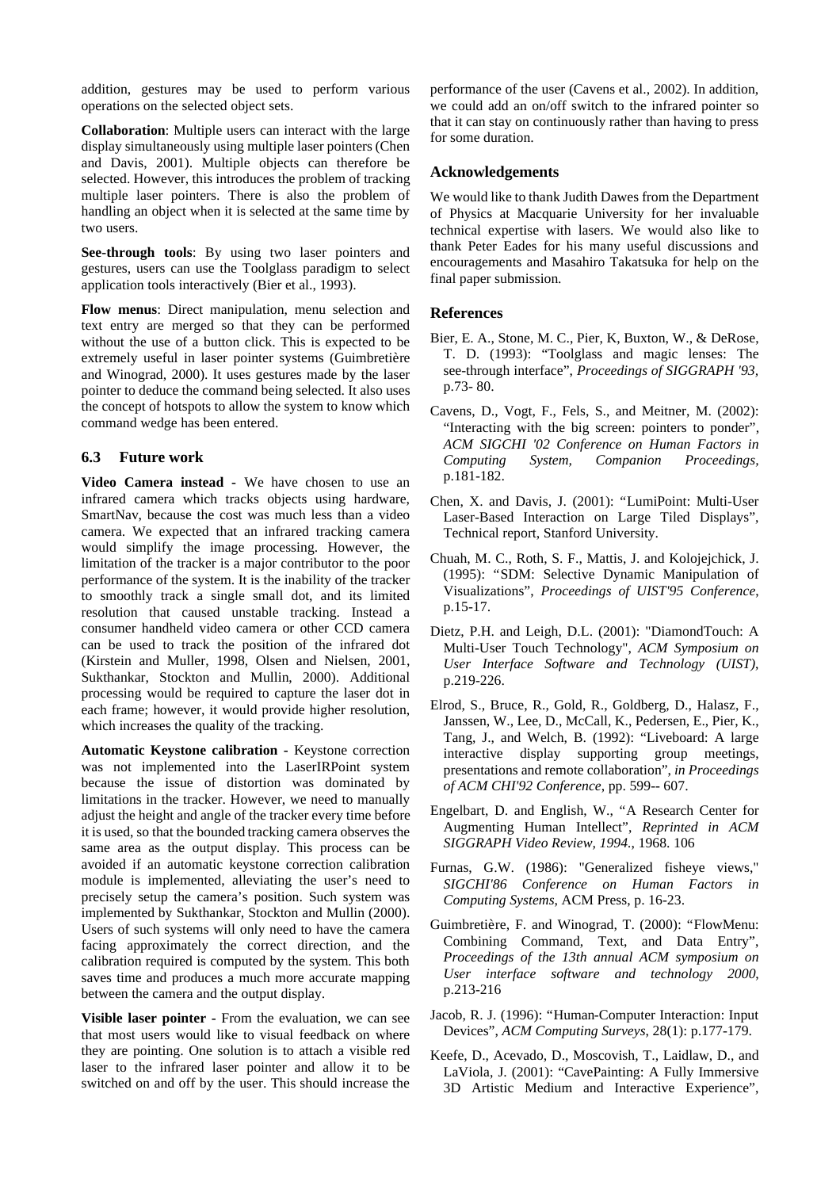addition, gestures may be used to perform various operations on the selected object sets.

**Collaboration**: Multiple users can interact with the large display simultaneously using multiple laser pointers (Chen and Davis, 2001). Multiple objects can therefore be selected. However, this introduces the problem of tracking multiple laser pointers. There is also the problem of handling an object when it is selected at the same time by two users.

**See-through tools**: By using two laser pointers and gestures, users can use the Toolglass paradigm to select application tools interactively (Bier et al., 1993).

**Flow menus**: Direct manipulation, menu selection and text entry are merged so that they can be performed without the use of a button click. This is expected to be extremely useful in laser pointer systems (Guimbretière and Winograd, 2000). It uses gestures made by the laser pointer to deduce the command being selected. It also uses the concept of hotspots to allow the system to know which command wedge has been entered.

## **6.3 Future work**

**Video Camera instead -** We have chosen to use an infrared camera which tracks objects using hardware, SmartNav, because the cost was much less than a video camera. We expected that an infrared tracking camera would simplify the image processing. However, the limitation of the tracker is a major contributor to the poor performance of the system. It is the inability of the tracker to smoothly track a single small dot, and its limited resolution that caused unstable tracking. Instead a consumer handheld video camera or other CCD camera can be used to track the position of the infrared dot (Kirstein and Muller, 1998, Olsen and Nielsen, 2001, Sukthankar, Stockton and Mullin, 2000). Additional processing would be required to capture the laser dot in each frame; however, it would provide higher resolution, which increases the quality of the tracking.

**Automatic Keystone calibration -** Keystone correction was not implemented into the LaserIRPoint system because the issue of distortion was dominated by limitations in the tracker. However, we need to manually adjust the height and angle of the tracker every time before it is used, so that the bounded tracking camera observes the same area as the output display. This process can be avoided if an automatic keystone correction calibration module is implemented, alleviating the user's need to precisely setup the camera's position. Such system was implemented by Sukthankar, Stockton and Mullin (2000). Users of such systems will only need to have the camera facing approximately the correct direction, and the calibration required is computed by the system. This both saves time and produces a much more accurate mapping between the camera and the output display.

**Visible laser pointer -** From the evaluation, we can see that most users would like to visual feedback on where they are pointing. One solution is to attach a visible red laser to the infrared laser pointer and allow it to be switched on and off by the user. This should increase the performance of the user (Cavens et al., 2002). In addition, we could add an on/off switch to the infrared pointer so that it can stay on continuously rather than having to press for some duration.

## **Acknowledgements**

We would like to thank Judith Dawes from the Department of Physics at Macquarie University for her invaluable technical expertise with lasers. We would also like to thank Peter Eades for his many useful discussions and encouragements and Masahiro Takatsuka for help on the final paper submission.

## **References**

- Bier, E. A., Stone, M. C., Pier, K, Buxton, W., & DeRose, T. D. (1993): "Toolglass and magic lenses: The see-through interface", *Proceedings of SIGGRAPH '93,*  p.73- 80.
- Cavens, D., Vogt, F., Fels, S., and Meitner, M. (2002): "Interacting with the big screen: pointers to ponder", *ACM SIGCHI '02 Conference on Human Factors in Computing System, Companion Proceedings,* p.181-182.
- Chen, X. and Davis, J. (2001): "LumiPoint: Multi-User Laser-Based Interaction on Large Tiled Displays", Technical report, Stanford University.
- Chuah, M. C., Roth, S. F., Mattis, J. and Kolojejchick, J. (1995): "SDM: Selective Dynamic Manipulation of Visualizations", *Proceedings of UIST'95 Conference*, p.15-17.
- Dietz, P.H. and Leigh, D.L. (2001): "DiamondTouch: A Multi-User Touch Technology", *ACM Symposium on User Interface Software and Technology (UIST)*, p.219-226.
- Elrod, S., Bruce, R., Gold, R., Goldberg, D., Halasz, F., Janssen, W., Lee, D., McCall, K., Pedersen, E., Pier, K., Tang, J., and Welch, B. (1992): "Liveboard: A large interactive display supporting group meetings, presentations and remote collaboration", *in Proceedings of ACM CHI'92 Conference*, pp. 599-- 607.
- Engelbart, D. and English, W., "A Research Center for Augmenting Human Intellect", *Reprinted in ACM SIGGRAPH Video Review, 1994.*, 1968. 106
- Furnas, G.W. (1986): "Generalized fisheye views," *SIGCHI'86 Conference on Human Factors in Computing Systems*, ACM Press, p. 16-23.
- Guimbretière, F. and Winograd, T. (2000): "FlowMenu: Combining Command, Text, and Data Entry", *Proceedings of the 13th annual ACM symposium on User interface software and technology 2000*, p.213-216
- Jacob, R. J. (1996): "Human-Computer Interaction: Input Devices", *ACM Computing Surveys*, 28(1): p.177-179.
- Keefe, D., Acevado, D., Moscovish, T., Laidlaw, D., and LaViola, J. (2001): "CavePainting: A Fully Immersive 3D Artistic Medium and Interactive Experience",